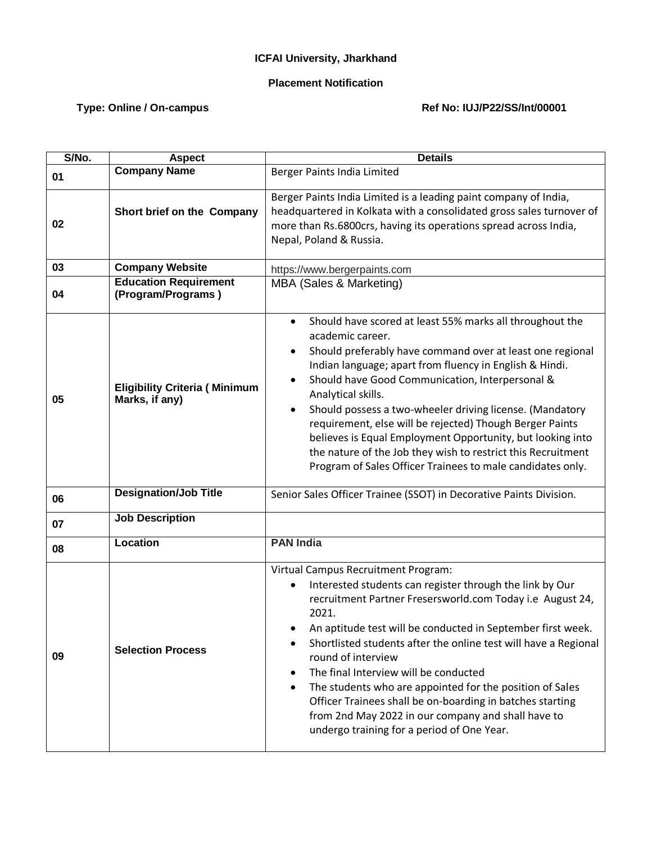## **ICFAI University, Jharkhand**

## **Placement Notification**

## Type: Online / On-campus **Ref No: IUJ/P22/SS/Int/00001**

| S/No. | <b>Aspect</b>                                          | <b>Details</b>                                                                                                                                                                                                                                                                                                                                                                                                                                                                                                                                                                                                              |
|-------|--------------------------------------------------------|-----------------------------------------------------------------------------------------------------------------------------------------------------------------------------------------------------------------------------------------------------------------------------------------------------------------------------------------------------------------------------------------------------------------------------------------------------------------------------------------------------------------------------------------------------------------------------------------------------------------------------|
| 01    | <b>Company Name</b>                                    | Berger Paints India Limited                                                                                                                                                                                                                                                                                                                                                                                                                                                                                                                                                                                                 |
| 02    | Short brief on the Company                             | Berger Paints India Limited is a leading paint company of India,<br>headquartered in Kolkata with a consolidated gross sales turnover of<br>more than Rs.6800crs, having its operations spread across India,<br>Nepal, Poland & Russia.                                                                                                                                                                                                                                                                                                                                                                                     |
| 03    | <b>Company Website</b>                                 | https://www.bergerpaints.com                                                                                                                                                                                                                                                                                                                                                                                                                                                                                                                                                                                                |
| 04    | <b>Education Requirement</b><br>(Program/Programs)     | MBA (Sales & Marketing)                                                                                                                                                                                                                                                                                                                                                                                                                                                                                                                                                                                                     |
| 05    | <b>Eligibility Criteria (Minimum</b><br>Marks, if any) | Should have scored at least 55% marks all throughout the<br>$\bullet$<br>academic career.<br>Should preferably have command over at least one regional<br>Indian language; apart from fluency in English & Hindi.<br>Should have Good Communication, Interpersonal &<br>Analytical skills.<br>Should possess a two-wheeler driving license. (Mandatory<br>$\bullet$<br>requirement, else will be rejected) Though Berger Paints<br>believes is Equal Employment Opportunity, but looking into<br>the nature of the Job they wish to restrict this Recruitment<br>Program of Sales Officer Trainees to male candidates only. |
| 06    | <b>Designation/Job Title</b>                           | Senior Sales Officer Trainee (SSOT) in Decorative Paints Division.                                                                                                                                                                                                                                                                                                                                                                                                                                                                                                                                                          |
| 07    | <b>Job Description</b>                                 |                                                                                                                                                                                                                                                                                                                                                                                                                                                                                                                                                                                                                             |
| 08    | Location                                               | <b>PAN India</b>                                                                                                                                                                                                                                                                                                                                                                                                                                                                                                                                                                                                            |
| 09    | <b>Selection Process</b>                               | Virtual Campus Recruitment Program:<br>Interested students can register through the link by Our<br>recruitment Partner Fresersworld.com Today i.e August 24,<br>2021.<br>An aptitude test will be conducted in September first week.<br>Shortlisted students after the online test will have a Regional<br>round of interview<br>The final Interview will be conducted<br>The students who are appointed for the position of Sales<br>Officer Trainees shall be on-boarding in batches starting<br>from 2nd May 2022 in our company and shall have to<br>undergo training for a period of One Year.                         |